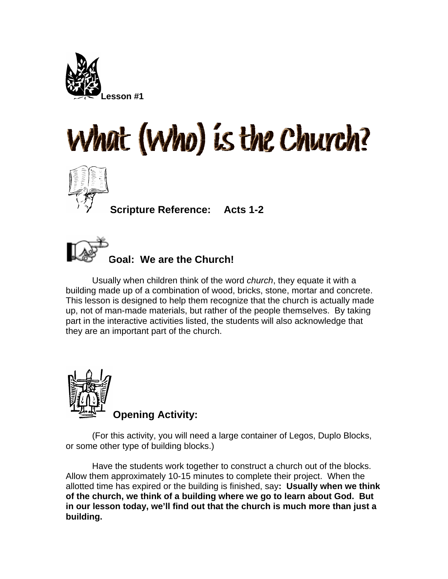





**Scripture Reference: Acts 1-2** 



Usually when children think of the word *church*, they equate it with a building made up of a combination of wood, bricks, stone, mortar and concrete. This lesson is designed to help them recognize that the church is actually made up, not of man-made materials, but rather of the people themselves. By taking part in the interactive activities listed, the students will also acknowledge that they are an important part of the church.



(For this activity, you will need a large container of Legos, Duplo Blocks, or some other type of building blocks.)

Have the students work together to construct a church out of the blocks. Allow them approximately 10-15 minutes to complete their project. When the allotted time has expired or the building is finished, say**: Usually when we think of the church, we think of a building where we go to learn about God. But in our lesson today, we'll find out that the church is much more than just a building.**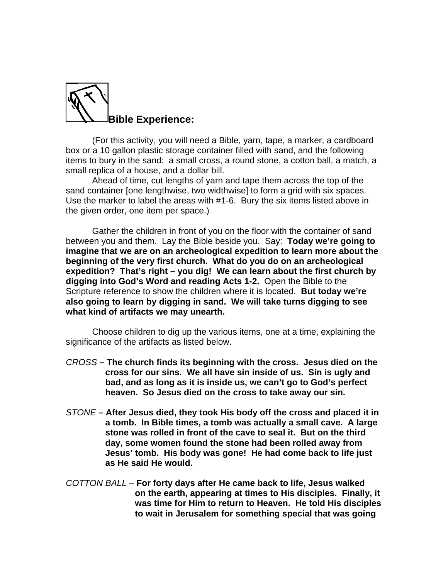

(For this activity, you will need a Bible, yarn, tape, a marker, a cardboard box or a 10 gallon plastic storage container filled with sand, and the following items to bury in the sand: a small cross, a round stone, a cotton ball, a match, a small replica of a house, and a dollar bill.

Ahead of time, cut lengths of yarn and tape them across the top of the sand container [one lengthwise, two widthwise] to form a grid with six spaces. Use the marker to label the areas with #1-6. Bury the six items listed above in the given order, one item per space.)

Gather the children in front of you on the floor with the container of sand between you and them. Lay the Bible beside you. Say: **Today we're going to imagine that we are on an archeological expedition to learn more about the beginning of the very first church. What do you do on an archeological expedition? That's right – you dig! We can learn about the first church by digging into God's Word and reading Acts 1-2.** Open the Bible to the Scripture reference to show the children where it is located. **But today we're also going to learn by digging in sand. We will take turns digging to see what kind of artifacts we may unearth.** 

Choose children to dig up the various items, one at a time, explaining the significance of the artifacts as listed below.

- *CROSS*  **The church finds its beginning with the cross. Jesus died on the cross for our sins. We all have sin inside of us. Sin is ugly and bad, and as long as it is inside us, we can't go to God's perfect heaven. So Jesus died on the cross to take away our sin.**
- *STONE*  **After Jesus died, they took His body off the cross and placed it in a tomb. In Bible times, a tomb was actually a small cave. A large stone was rolled in front of the cave to seal it. But on the third day, some women found the stone had been rolled away from Jesus' tomb. His body was gone! He had come back to life just as He said He would.**
- *COTTON BALL* **For forty days after He came back to life, Jesus walked on the earth, appearing at times to His disciples. Finally, it was time for Him to return to Heaven. He told His disciples to wait in Jerusalem for something special that was going**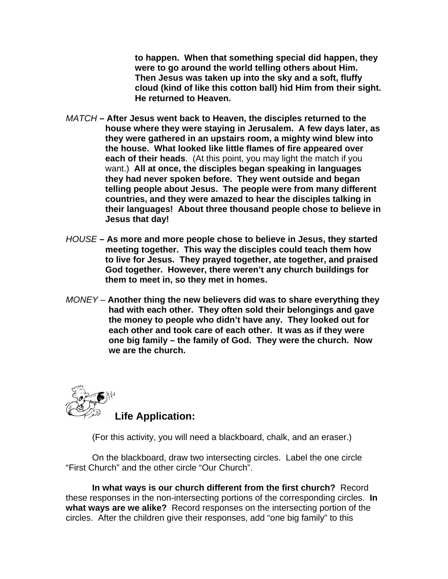**to happen. When that something special did happen, they were to go around the world telling others about Him. Then Jesus was taken up into the sky and a soft, fluffy cloud (kind of like this cotton ball) hid Him from their sight. He returned to Heaven.** 

- *MATCH*  **After Jesus went back to Heaven, the disciples returned to the house where they were staying in Jerusalem. A few days later, as they were gathered in an upstairs room, a mighty wind blew into the house. What looked like little flames of fire appeared over each of their heads**. (At this point, you may light the match if you want.) **All at once, the disciples began speaking in languages they had never spoken before. They went outside and began telling people about Jesus. The people were from many different countries, and they were amazed to hear the disciples talking in their languages! About three thousand people chose to believe in Jesus that day!**
- *HOUSE*  **As more and more people chose to believe in Jesus, they started meeting together. This way the disciples could teach them how to live for Jesus. They prayed together, ate together, and praised God together. However, there weren't any church buildings for them to meet in, so they met in homes.**
- *MONEY* **Another thing the new believers did was to share everything they had with each other. They often sold their belongings and gave the money to people who didn't have any. They looked out for each other and took care of each other. It was as if they were one big family – the family of God. They were the church. Now we are the church.**



(For this activity, you will need a blackboard, chalk, and an eraser.)

On the blackboard, draw two intersecting circles. Label the one circle "First Church" and the other circle "Our Church".

**In what ways is our church different from the first church?** Record these responses in the non-intersecting portions of the corresponding circles. **In what ways are we alike?** Record responses on the intersecting portion of the circles. After the children give their responses, add "one big family" to this